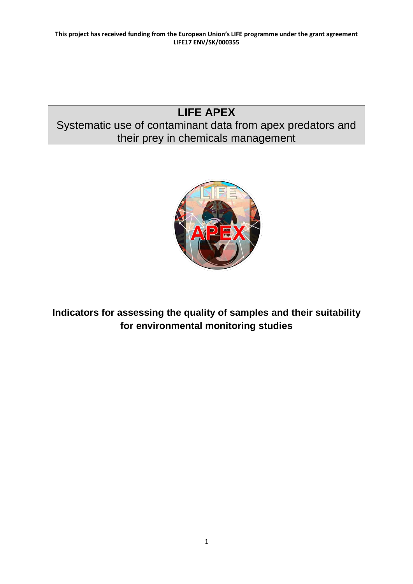# **LIFE APEX** Systematic use of contaminant data from apex predators and their prey in chemicals management



**Indicators for assessing the quality of samples and their suitability for environmental monitoring studies**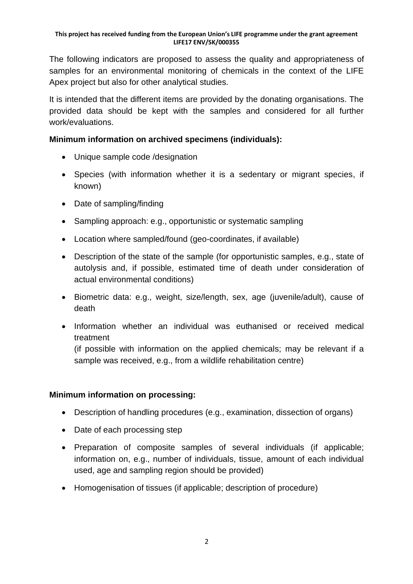The following indicators are proposed to assess the quality and appropriateness of samples for an environmental monitoring of chemicals in the context of the LIFE Apex project but also for other analytical studies.

It is intended that the different items are provided by the donating organisations. The provided data should be kept with the samples and considered for all further work/evaluations.

## **Minimum information on archived specimens (individuals):**

- Unique sample code /designation
- Species (with information whether it is a sedentary or migrant species, if known)
- Date of sampling/finding
- Sampling approach: e.g., opportunistic or systematic sampling
- Location where sampled/found (geo-coordinates, if available)
- Description of the state of the sample (for opportunistic samples, e.g., state of autolysis and, if possible, estimated time of death under consideration of actual environmental conditions)
- Biometric data: e.g., weight, size/length, sex, age (juvenile/adult), cause of death
- Information whether an individual was euthanised or received medical treatment

(if possible with information on the applied chemicals; may be relevant if a sample was received, e.g., from a wildlife rehabilitation centre)

## **Minimum information on processing:**

- Description of handling procedures (e.g., examination, dissection of organs)
- Date of each processing step
- Preparation of composite samples of several individuals (if applicable; information on, e.g., number of individuals, tissue, amount of each individual used, age and sampling region should be provided)
- Homogenisation of tissues (if applicable; description of procedure)